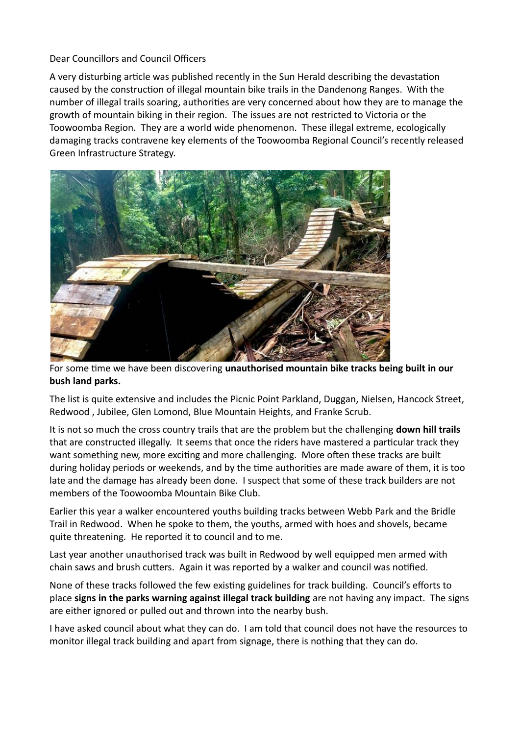## Dear Councillors and Council Officers

A very disturbing article was published recently in the Sun Herald describing the devastation caused by the construction of illegal mountain bike trails in the Dandenong Ranges. With the number of illegal trails soaring, authorities are very concerned about how they are to manage the growth of mountain biking in their region. The issues are not restricted to Victoria or the Toowoomba Region. They are a world wide phenomenon. These illegal extreme, ecologically damaging tracks contravene key elements of the Toowoomba Regional Council's recently released Green Infrastructure Strategy.



For some time we have been discovering **unauthorised mountain bike tracks being built in our bush land parks.** 

The list is quite extensive and includes the Picnic Point Parkland, Duggan, Nielsen, Hancock Street, Redwood , Jubilee, Glen Lomond, Blue Mountain Heights, and Franke Scrub.

It is not so much the cross country trails that are the problem but the challenging **down hill trails** that are constructed illegally. It seems that once the riders have mastered a particular track they want something new, more exciting and more challenging. More often these tracks are built during holiday periods or weekends, and by the time authorities are made aware of them, it is too late and the damage has already been done. I suspect that some of these track builders are not members of the Toowoomba Mountain Bike Club.

Earlier this year a walker encountered youths building tracks between Webb Park and the Bridle Trail in Redwood. When he spoke to them, the youths, armed with hoes and shovels, became quite threatening. He reported it to council and to me.

Last year another unauthorised track was built in Redwood by well equipped men armed with chain saws and brush cutters. Again it was reported by a walker and council was notified.

None of these tracks followed the few existing guidelines for track building. Council's efforts to place **signs in the parks warning against illegal track building** are not having any impact. The signs are either ignored or pulled out and thrown into the nearby bush.

I have asked council about what they can do. I am told that council does not have the resources to monitor illegal track building and apart from signage, there is nothing that they can do.